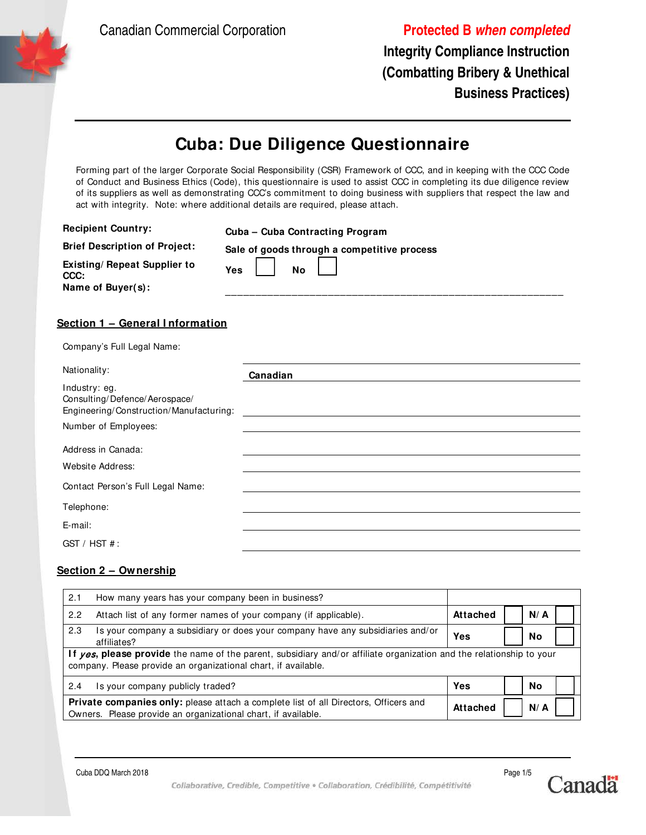Canadian Commercial Corporation **Protected B when completed**

**Integrity Compliance Instruction (Combatting Bribery & Unethical Business Practices)**

# **Cuba: Due Diligence Questionnaire**

Forming part of the larger Corporate Social Responsibility (CSR) Framework of CCC, and in keeping with the CCC Code of Conduct and Business Ethics (Code), this questionnaire is used to assist CCC in completing its due diligence review of its suppliers as well as demonstrating CCC's commitment to doing business with suppliers that respect the law and act with integrity. Note: where additional details are required, please attach.

|                                                                                           | Cuba - Cuba Contracting Program             |
|-------------------------------------------------------------------------------------------|---------------------------------------------|
| <b>Brief Description of Project:</b>                                                      | Sale of goods through a competitive process |
| Existing/ Repeat Supplier to<br>CCC:<br>Name of Buyer(s):                                 | <b>No</b><br>Yes                            |
| Section 1 - General Information                                                           |                                             |
| Company's Full Legal Name:                                                                |                                             |
| Nationality:                                                                              | Canadian                                    |
|                                                                                           |                                             |
| Industry: eg.<br>Consulting/Defence/Aerospace/<br>Engineering/Construction/Manufacturing: |                                             |
| Number of Employees:                                                                      |                                             |
| Address in Canada:                                                                        |                                             |
| Website Address:                                                                          |                                             |

Telephone:

E-mail:

GST / HST # :

#### **Section 2 – Ownership**

| 2.1 | How many years has your company been in business?                                                                                                                                      |                 |           |  |
|-----|----------------------------------------------------------------------------------------------------------------------------------------------------------------------------------------|-----------------|-----------|--|
| 2.2 | Attach list of any former names of your company (if applicable).                                                                                                                       | <b>Attached</b> | N/A       |  |
| 2.3 | Is your company a subsidiary or does your company have any subsidiaries and/or<br>affiliates?                                                                                          | Yes             | No        |  |
|     | If yes, please provide the name of the parent, subsidiary and/or affiliate organization and the relationship to your<br>company. Please provide an organizational chart, if available. |                 |           |  |
| 2.4 | Is your company publicly traded?                                                                                                                                                       | Yes             | <b>No</b> |  |
|     | <b>Private companies only:</b> please attach a complete list of all Directors, Officers and<br>Owners. Please provide an organizational chart, if available.                           | Attached        | N/A       |  |

Cuba DDQ March 2018 Page 1/5

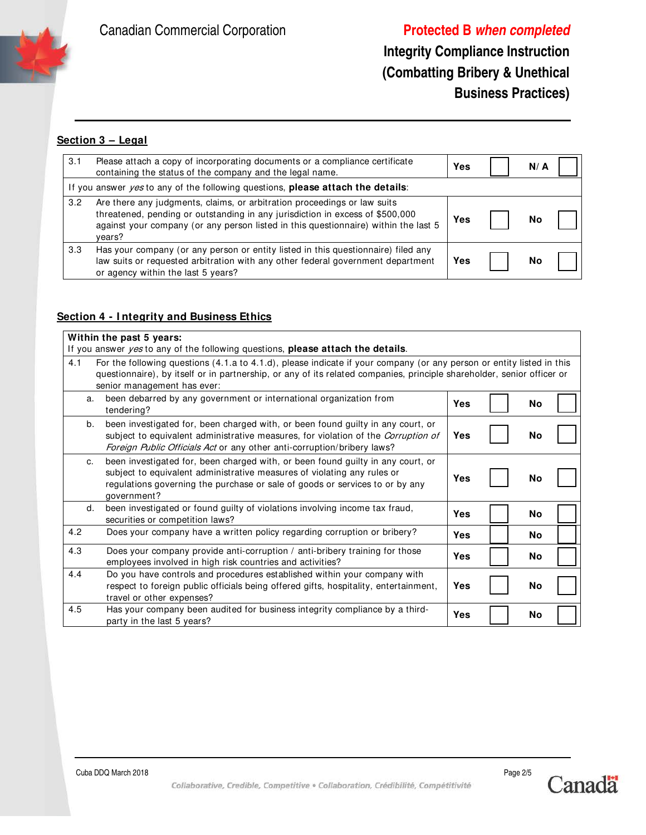Canadian Commercial Corporation **Protected B when completed**

## **Integrity Compliance Instruction (Combatting Bribery & Unethical Business Practices)**

### **Section 3 – Legal**

| 3.1 | Please attach a copy of incorporating documents or a compliance certificate<br>containing the status of the company and the legal name.                                                                                                                    | Yes | N/ A |  |
|-----|------------------------------------------------------------------------------------------------------------------------------------------------------------------------------------------------------------------------------------------------------------|-----|------|--|
|     | If you answer <i>yes</i> to any of the following questions, <b>please attach the details</b> :                                                                                                                                                             |     |      |  |
| 3.2 | Are there any judgments, claims, or arbitration proceedings or law suits<br>threatened, pending or outstanding in any jurisdiction in excess of \$500,000<br>against your company (or any person listed in this questionnaire) within the last 5<br>vears? | Yes | Nο   |  |
| 3.3 | Has your company (or any person or entity listed in this questionnaire) filed any<br>law suits or requested arbitration with any other federal government department<br>or agency within the last 5 years?                                                 | Yes | No   |  |

## **Section 4 - I ntegrity and Business Ethics**

|     | Within the past 5 years:                                                                                                                                                                                                                                                       |            |  |           |  |  |
|-----|--------------------------------------------------------------------------------------------------------------------------------------------------------------------------------------------------------------------------------------------------------------------------------|------------|--|-----------|--|--|
|     | If you answer <i>yes</i> to any of the following questions, <b>please attach the details</b> .                                                                                                                                                                                 |            |  |           |  |  |
| 4.1 | For the following questions (4.1.a to 4.1.d), please indicate if your company (or any person or entity listed in this<br>questionnaire), by itself or in partnership, or any of its related companies, principle shareholder, senior officer or<br>senior management has ever: |            |  |           |  |  |
|     | been debarred by any government or international organization from<br>a.<br>tendering?                                                                                                                                                                                         | <b>Yes</b> |  | No        |  |  |
|     | been investigated for, been charged with, or been found guilty in any court, or<br>b.<br>subject to equivalent administrative measures, for violation of the <i>Corruption of</i><br>Foreign Public Officials Act or any other anti-corruption/bribery laws?                   | <b>Yes</b> |  | No        |  |  |
|     | been investigated for, been charged with, or been found guilty in any court, or<br>c.<br>subject to equivalent administrative measures of violating any rules or<br>regulations governing the purchase or sale of goods or services to or by any<br>government?                | Yes        |  | No        |  |  |
|     | been investigated or found guilty of violations involving income tax fraud,<br>d.<br>securities or competition laws?                                                                                                                                                           | Yes        |  | <b>No</b> |  |  |
| 4.2 | Does your company have a written policy regarding corruption or bribery?                                                                                                                                                                                                       | Yes        |  | No        |  |  |
| 4.3 | Does your company provide anti-corruption / anti-bribery training for those<br>employees involved in high risk countries and activities?                                                                                                                                       | <b>Yes</b> |  | No        |  |  |
| 4.4 | Do you have controls and procedures established within your company with<br>respect to foreign public officials being offered gifts, hospitality, entertainment,<br>travel or other expenses?                                                                                  | Yes        |  | No        |  |  |
| 4.5 | Has your company been audited for business integrity compliance by a third-<br>party in the last 5 years?                                                                                                                                                                      | Yes        |  | No        |  |  |

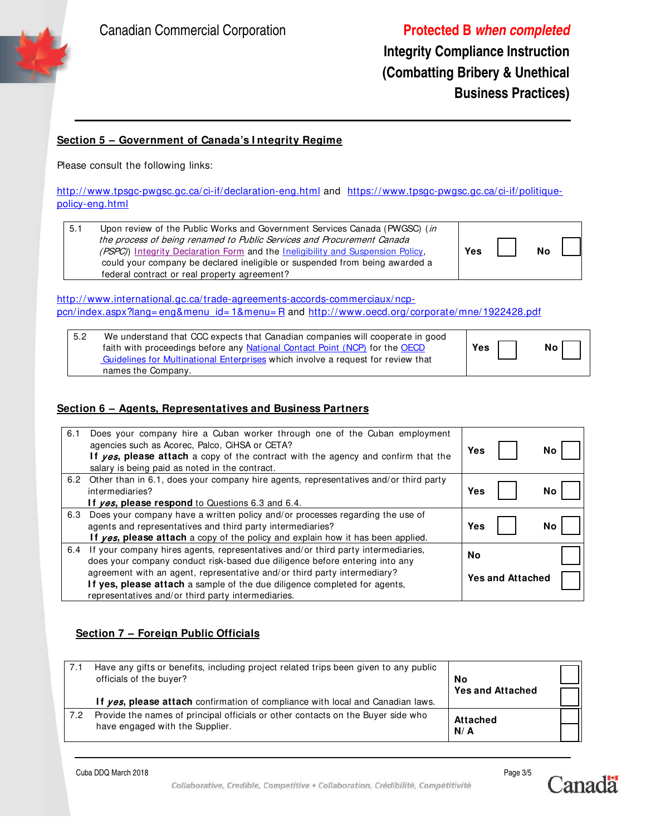

**Integrity Compliance Instruction (Combatting Bribery & Unethical Business Practices)**

#### **Section 5 – Government of Canada's I ntegrity Regime**

Please consult the following links:

http://www.tpsgc-pwgsc.gc.ca/ci-if/declaration-eng.html and https://www.tpsgc-pwgsc.gc.ca/ci-if/politiquepolicy-eng.html

5.1 Upon review of the Public Works and Government Services Canada (PWGSC) (in the process of being renamed to Public Services and Procurement Canada (PSPC)) Integrity Declaration Form and the Ineligibility and Suspension Policy, could your company be declared ineligible or suspended from being awarded a federal contract or real property agreement?

| Yes | No |  |
|-----|----|--|
|     |    |  |

http://www.international.gc.ca/trade-agreements-accords-commerciaux/ncppcn/index.aspx?lang= eng&menu\_id= 1&menu= R and http://www.oecd.org/ corporate/mne/1922428.pdf

| 5.2 | We understand that CCC expects that Canadian companies will cooperate in good    |     |                 |
|-----|----------------------------------------------------------------------------------|-----|-----------------|
|     | faith with proceedings before any National Contact Point (NCP) for the OECD      | Yes | No <sub>1</sub> |
|     | Guidelines for Multinational Enterprises which involve a request for review that |     |                 |
|     | names the Company.                                                               |     |                 |

#### **Section 6 – Agents, Representatives and Business Partners**

| 6.1 | Does your company hire a Cuban worker through one of the Cuban employment<br>agencies such as Acorec, Palco, CiHSA or CETA?<br>If yes, please attach a copy of the contract with the agency and confirm that the<br>salary is being paid as noted in the contract. | Yes |                         | No |
|-----|--------------------------------------------------------------------------------------------------------------------------------------------------------------------------------------------------------------------------------------------------------------------|-----|-------------------------|----|
|     | 6.2 Other than in 6.1, does your company hire agents, representatives and/or third party<br>intermediaries?<br>If ves, please respond to Questions 6.3 and 6.4.                                                                                                    | Yes |                         | No |
| 6.3 | Does your company have a written policy and/or processes regarding the use of<br>agents and representatives and third party intermediaries?<br>If yes, please attach a copy of the policy and explain how it has been applied.                                     | Yes |                         | Νo |
| 6.4 | If your company hires agents, representatives and/or third party intermediaries,<br>does your company conduct risk-based due diligence before entering into any                                                                                                    | No  |                         |    |
|     | agreement with an agent, representative and/or third party intermediary?<br>If yes, please attach a sample of the due diligence completed for agents,<br>representatives and/or third party intermediaries.                                                        |     | <b>Yes and Attached</b> |    |

### **Section 7 – Foreign Public Officials**

| 7.1 | Have any gifts or benefits, including project related trips been given to any public<br>officials of the buyer?<br>If yes, please attach confirmation of compliance with local and Canadian laws. | No<br><b>Yes and Attached</b> |  |
|-----|---------------------------------------------------------------------------------------------------------------------------------------------------------------------------------------------------|-------------------------------|--|
| 7.2 | Provide the names of principal officials or other contacts on the Buyer side who<br>have engaged with the Supplier.                                                                               | <b>Attached</b><br>N/A        |  |



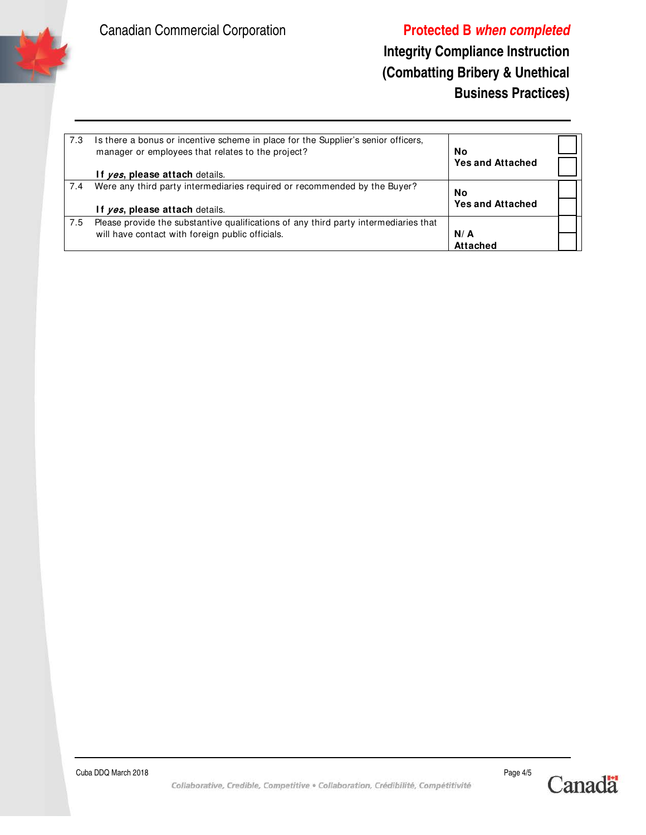

## **Integrity Compliance Instruction (Combatting Bribery & Unethical Business Practices)**

| 7.3 | Is there a bonus or incentive scheme in place for the Supplier's senior officers,<br>manager or employees that relates to the project? | No<br><b>Yes and Attached</b> |  |
|-----|----------------------------------------------------------------------------------------------------------------------------------------|-------------------------------|--|
|     | If ves, please attach details.                                                                                                         |                               |  |
| 7.4 | Were any third party intermediaries required or recommended by the Buyer?                                                              | No                            |  |
|     | If yes, please attach details.                                                                                                         | <b>Yes and Attached</b>       |  |
| 7.5 | Please provide the substantive qualifications of any third party intermediaries that                                                   |                               |  |
|     | will have contact with foreign public officials.                                                                                       | N/A                           |  |
|     |                                                                                                                                        | <b>Attached</b>               |  |
|     |                                                                                                                                        |                               |  |